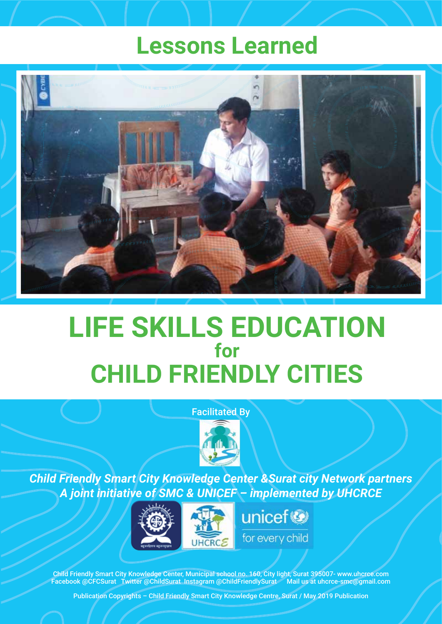## **Lessons Learned**



# **LIFE SKILLS EDUCATION CHILD FRIENDLY CITIES for**

#### Facilitated By



*Child Friendly Smart City Knowledge Center &Surat city Network partners A joint initiative of SMC & UNICEF – implemented by UHCRCE*



Child Friendly Smart City Knowledge Center, Municipal school no. 160, City light, Surat 395007- www.uhcrce.com Facebook @CFCSurat Twitter @ChildSurat Instagram @ChildFriendlySurat Mail us at uhcrce-smc@gmail.com

Publication Copyrights – Child Friendly Smart City Knowledge Centre, Surat / May 2019 Publication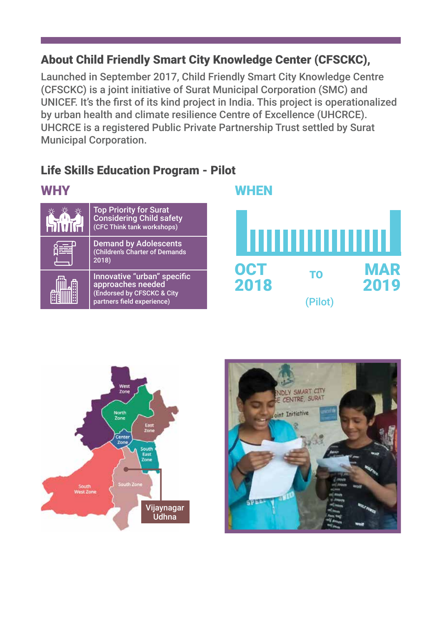### About Child Friendly Smart City Knowledge Center (CFSCKC),

Launched in September 2017, Child Friendly Smart City Knowledge Centre (CFSCKC) is a joint initiative of Surat Municipal Corporation (SMC) and UNICEF. It's the first of its kind project in India. This project is operationalized by urban health and climate resilience Centre of Excellence (UHCRCE). UHCRCE is a registered Public Private Partnership Trust settled by Surat Municipal Corporation.

## Life Skills Education Program - Pilot

| <b>WHY</b> |                                                                                                              | WHEN             |              |                    |
|------------|--------------------------------------------------------------------------------------------------------------|------------------|--------------|--------------------|
|            | <b>Top Priority for Surat</b><br>Considering Child safety<br>(CFC Think tank workshops)                      |                  |              |                    |
| 旨          | <b>Demand by Adolescents</b><br>(Children's Charter of Demands<br>2018)                                      | ,,,,,,,,,,,,,,,, |              |                    |
|            | Innovative "urban" specific<br>approaches needed<br>(Endorsed by CFSCKC & City<br>partners field experience) | OCT<br>2018      | <b>TO</b>    | <b>MAR</b><br>2019 |
|            |                                                                                                              |                  | <b>Pilot</b> |                    |



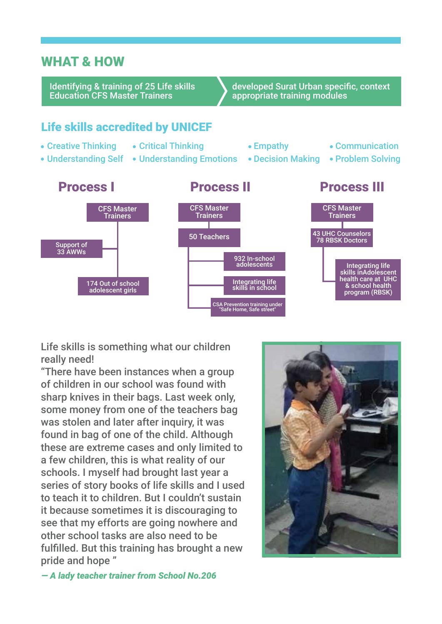#### WHAT & HOW

Identifying & training of 25 Life skills Education CFS Master Trainers

developed Surat Urban specific, context appropriate training modules

#### Life skills accredited by UNICEF

- Creative Thinking
- Critical Thinking
- 
- 
- Understanding Self Understanding Emotions Decision Making Problem Solving
- Empathy
	-
- Communication
- 



Life skills is something what our children really need!

"There have been instances when a group of children in our school was found with sharp knives in their bags. Last week only, some money from one of the teachers bag was stolen and later after inquiry, it was found in bag of one of the child. Although these are extreme cases and only limited to a few children, this is what reality of our schools. I myself had brought last year a series of story books of life skills and I used to teach it to children. But I couldn't sustain it because sometimes it is discouraging to see that my efforts are going nowhere and other school tasks are also need to be fulfilled. But this training has brought a new pride and hope "



*— A lady teacher trainer from School No.206*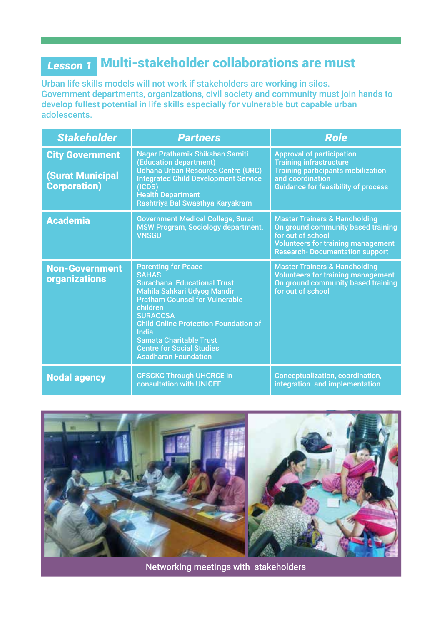## Multi-stakeholder collaborations are must *Lesson 1*

Urban life skills models will not work if stakeholders are working in silos. Government departments, organizations, civil society and community must join hands to develop fullest potential in life skills especially for vulnerable but capable urban adolescents.

| <b>Stakeholder</b>                                                       | <b>Partners</b>                                                                                                                                                                                                                                                                                                                                              | <b>Role</b>                                                                                                                                                                                |
|--------------------------------------------------------------------------|--------------------------------------------------------------------------------------------------------------------------------------------------------------------------------------------------------------------------------------------------------------------------------------------------------------------------------------------------------------|--------------------------------------------------------------------------------------------------------------------------------------------------------------------------------------------|
| <b>City Government</b><br><b>(Surat Municipal</b><br><b>Corporation)</b> | Nagar Prathamik Shikshan Samiti<br>(Education department)<br><b>Udhana Urban Resource Centre (URC)</b><br><b>Integrated Child Development Service</b><br>(ICDS)<br><b>Health Department</b><br>Rashtriya Bal Swasthya Karyakram                                                                                                                              | <b>Approval of participation</b><br><b>Training infrastructure</b><br><b>Training participants mobilization</b><br>and coordination<br><b>Guidance for feasibility of process</b>          |
| <b>Academia</b>                                                          | <b>Government Medical College, Surat</b><br><b>MSW Program, Sociology department,</b><br><b>VNSGU</b>                                                                                                                                                                                                                                                        | <b>Master Trainers &amp; Handholding</b><br>On ground community based training<br>for out of school<br><b>Volunteers for training management</b><br><b>Research- Documentation support</b> |
| <b>Non-Government</b><br><b>organizations</b>                            | <b>Parenting for Peace</b><br><b>SAHAS</b><br><b>Surachana Educational Trust</b><br>Mahila Sahkari Udyog Mandir<br><b>Pratham Counsel for Vulnerable</b><br>children<br><b>SURACCSA</b><br><b>Child Online Protection Foundation of</b><br><b>India</b><br><b>Samata Charitable Trust</b><br><b>Centre for Social Studies</b><br><b>Asadharan Foundation</b> | <b>Master Trainers &amp; Handholding</b><br><b>Volunteers for training management</b><br>On ground community based training<br>for out of school                                           |
| <b>Nodal agency</b>                                                      | <b>CFSCKC Through UHCRCE in</b><br><b>consultation with UNICEF</b>                                                                                                                                                                                                                                                                                           | <b>Conceptualization, coordination,</b><br>integration and implementation                                                                                                                  |



Networking meetings with stakeholders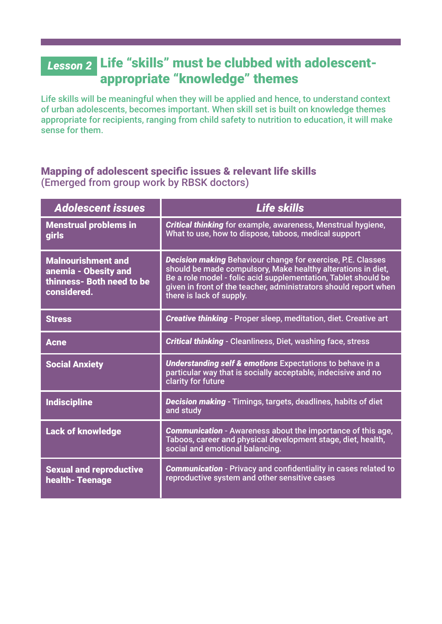## L<sub>esson 2</sub> Life "skills" must be clubbed with adolescentappropriate "knowledge" themes

Life skills will be meaningful when they will be applied and hence, to understand context of urban adolescents, becomes important. When skill set is built on knowledge themes appropriate for recipients, ranging from child safety to nutrition to education, it will make sense for them.

#### Mapping of adolescent specific issues & relevant life skills (Emerged from group work by RBSK doctors)

| <b>Adolescent issues</b>                                                                      | Life skills                                                                                                                                                                                                                                                                                          |  |
|-----------------------------------------------------------------------------------------------|------------------------------------------------------------------------------------------------------------------------------------------------------------------------------------------------------------------------------------------------------------------------------------------------------|--|
| <b>Menstrual problems in</b><br><b>girls</b>                                                  | <b>Critical thinking</b> for example, awareness, Menstrual hygiene,<br>What to use, how to dispose, taboos, medical support                                                                                                                                                                          |  |
| <b>Malnourishment and</b><br>anemia - Obesity and<br>thinness- Both need to be<br>considered. | <b>Decision making Behaviour change for exercise, P.E. Classes</b><br>should be made compulsory, Make healthy alterations in diet,<br>Be a role model - folic acid supplementation, Tablet should be<br>given in front of the teacher, administrators should report when<br>there is lack of supply. |  |
| <b>Stress</b>                                                                                 | Creative thinking - Proper sleep, meditation, diet. Creative art                                                                                                                                                                                                                                     |  |
| <b>Acne</b>                                                                                   | <b>Critical thinking</b> - Cleanliness, Diet, washing face, stress                                                                                                                                                                                                                                   |  |
| <b>Social Anxiety</b>                                                                         | <b>Understanding self &amp; emotions Expectations to behave in a</b><br>particular way that is socially acceptable, indecisive and no<br>clarity for future                                                                                                                                          |  |
| <b>Indiscipline</b>                                                                           | <b>Decision making</b> - Timings, targets, deadlines, habits of diet<br>and study                                                                                                                                                                                                                    |  |
| <b>Lack of knowledge</b>                                                                      | <b>Communication</b> - Awareness about the importance of this age,<br>Taboos, career and physical development stage, diet, health,<br>social and emotional balancing.                                                                                                                                |  |
| <b>Sexual and reproductive</b><br><b>health-Teenage</b>                                       | <b>Communication</b> - Privacy and confidentiality in cases related to<br>reproductive system and other sensitive cases                                                                                                                                                                              |  |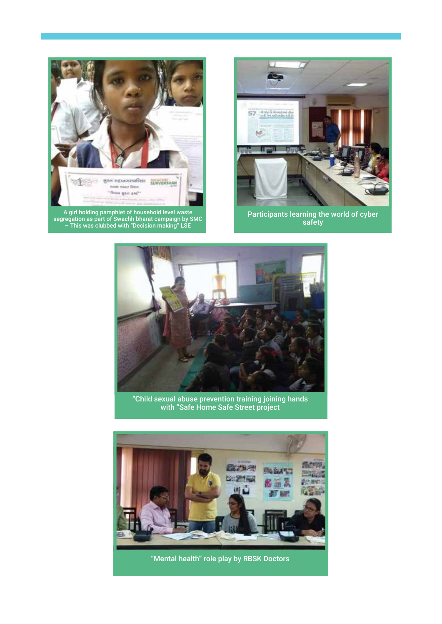

A girl holding pamphlet of household level waste segregation as part of Swachh bharat campaign by SMC – This was clubbed with "Decision making" LSE



Participants learning the world of cyber safety



"Child sexual abuse prevention training joining hands with "Safe Home Safe Street project



"Mental health" role play by RBSK Doctors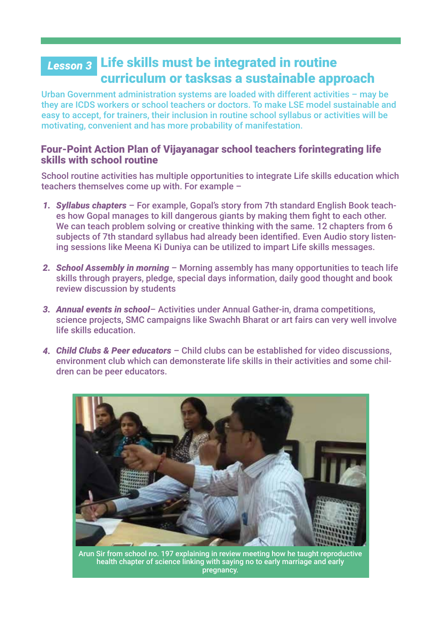#### L<sub>esson 3</sub> Life skills must be integrated in routine curriculum or tasksas a sustainable approach

Urban Government administration systems are loaded with different activities – may be they are ICDS workers or school teachers or doctors. To make LSE model sustainable and easy to accept, for trainers, their inclusion in routine school syllabus or activities will be motivating, convenient and has more probability of manifestation.

#### Four-Point Action Plan of Vijayanagar school teachers forintegrating life skills with school routine

School routine activities has multiple opportunities to integrate Life skills education which teachers themselves come up with. For example –

- *Syllabus chapters* For example, Gopal's story from 7th standard English Book teach-*1.* es how Gopal manages to kill dangerous giants by making them fight to each other. We can teach problem solving or creative thinking with the same. 12 chapters from 6 subjects of 7th standard syllabus had already been identified. Even Audio story listening sessions like Meena Ki Duniya can be utilized to impart Life skills messages.
- *School Assembly in morning* Morning assembly has many opportunities to teach life *2.* skills through prayers, pledge, special days information, daily good thought and book review discussion by students
- *Annual events in school* Activities under Annual Gather-in, drama competitions, *3.* science projects, SMC campaigns like Swachh Bharat or art fairs can very well involve life skills education.
- *Child Clubs & Peer educators* Child clubs can be established for video discussions, *4.* environment club which can demonsterate life skills in their activities and some children can be peer educators.



Arun Sir from school no. 197 explaining in review meeting how he taught reproductive health chapter of science linking with saying no to early marriage and early pregnancy.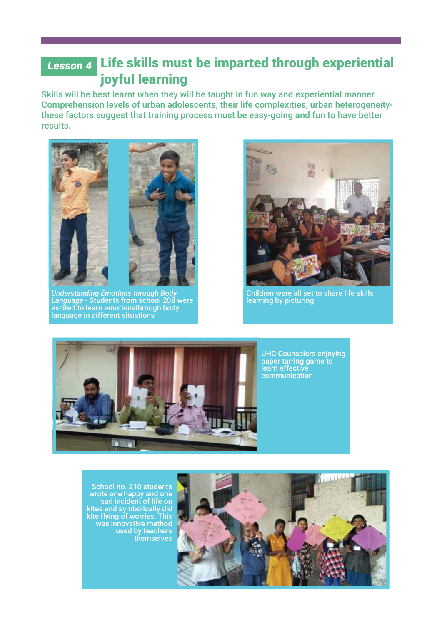#### L<sub>esson 4</sub> Life skills must be imparted through experiential joyful learning

Skills will be best learnt when they will be taught in fun way and experiential manner. Comprehension levels of urban adolescents, their life complexities, urban heterogeneitythese factors suggest that training process must be easy-going and fun to have better results.



*Understanding Emotions through Body Language* - Students from school 208 were excited to learn emotionsthrough body language in different situations



Children were all set to share life skills learning by picturing



School no. 210 students wrote one happy and one sad incident of life on kites and symbolically did kite flying of worries. This was innovative method used by teachers themselves

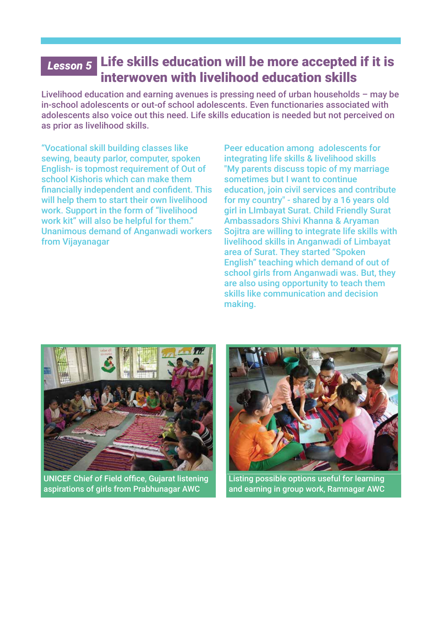#### Lesson 5 Life skills education will be more accepted if it is interwoven with livelihood education skills

Livelihood education and earning avenues is pressing need of urban households – may be in-school adolescents or out-of school adolescents. Even functionaries associated with adolescents also voice out this need. Life skills education is needed but not perceived on as prior as livelihood skills.

"Vocational skill building classes like sewing, beauty parlor, computer, spoken English- is topmost requirement of Out of school Kishoris which can make them financially independent and confident. This will help them to start their own livelihood work. Support in the form of "livelihood work kit" will also be helpful for them." Unanimous demand of Anganwadi workers from Vijayanagar

Peer education among adolescents for integrating life skills & livelihood skills "My parents discuss topic of my marriage sometimes but I want to continue education, join civil services and contribute for my country" - shared by a 16 years old girl in LImbayat Surat. Child Friendly Surat Ambassadors Shivi Khanna & Aryaman Sojitra are willing to integrate life skills with livelihood skills in Anganwadi of Limbayat area of Surat. They started "Spoken English" teaching which demand of out of school girls from Anganwadi was. But, they are also using opportunity to teach them skills like communication and decision making.



UNICEF Chief of Field office, Gujarat listening aspirations of girls from Prabhunagar AWC



Listing possible options useful for learning and earning in group work, Ramnagar AWC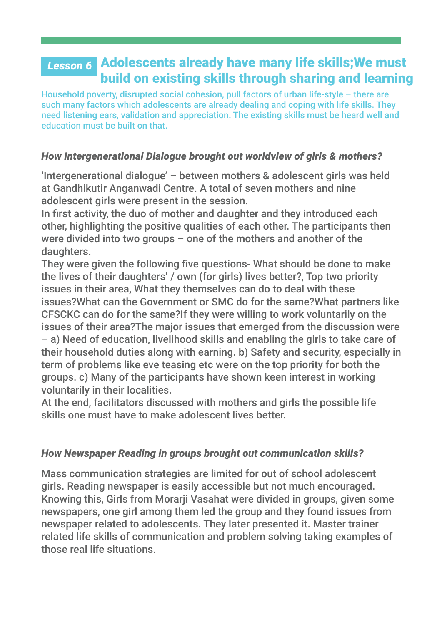## Adolescents already have many life skills;We must *Lesson 6*build on existing skills through sharing and learning

Household poverty, disrupted social cohesion, pull factors of urban life-style – there are such many factors which adolescents are already dealing and coping with life skills. They need listening ears, validation and appreciation. The existing skills must be heard well and education must be built on that.

#### *How Intergenerational Dialogue brought out worldview of girls & mothers?*

'Intergenerational dialogue' – between mothers & adolescent girls was held at Gandhikutir Anganwadi Centre. A total of seven mothers and nine adolescent girls were present in the session.

In first activity, the duo of mother and daughter and they introduced each other, highlighting the positive qualities of each other. The participants then were divided into two groups – one of the mothers and another of the daughters.

They were given the following five questions- What should be done to make the lives of their daughters' / own (for girls) lives better?, Top two priority issues in their area, What they themselves can do to deal with these issues?What can the Government or SMC do for the same?What partners like CFSCKC can do for the same?If they were willing to work voluntarily on the issues of their area?The major issues that emerged from the discussion were – a) Need of education, livelihood skills and enabling the girls to take care of their household duties along with earning. b) Safety and security, especially in term of problems like eve teasing etc were on the top priority for both the groups. c) Many of the participants have shown keen interest in working voluntarily in their localities.

At the end, facilitators discussed with mothers and girls the possible life skills one must have to make adolescent lives better.

#### *How Newspaper Reading in groups brought out communication skills?*

Mass communication strategies are limited for out of school adolescent girls. Reading newspaper is easily accessible but not much encouraged. Knowing this, Girls from Morarji Vasahat were divided in groups, given some newspapers, one girl among them led the group and they found issues from newspaper related to adolescents. They later presented it. Master trainer related life skills of communication and problem solving taking examples of those real life situations.